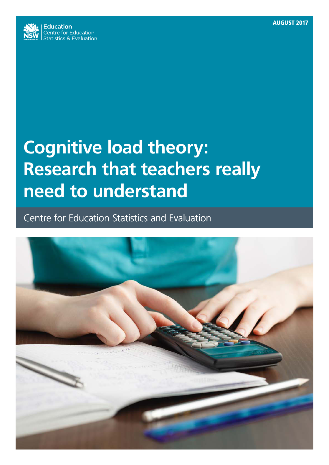

# **Cognitive load theory: Research that teachers really need to understand**

Centre for Education Statistics and Evaluation

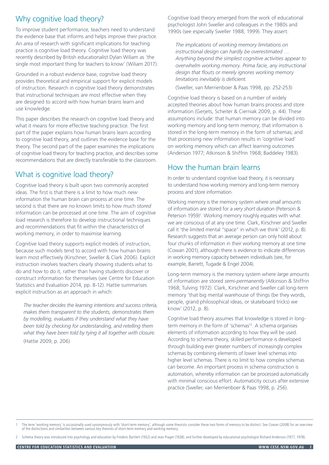# Why cognitive load theory?

To improve student performance, teachers need to understand the evidence base that informs and helps improve their practice. An area of research with significant implications for teaching practice is cognitive load theory. Cognitive load theory was recently described by British educationalist Dylan Wiliam as 'the single most important thing for teachers to know' (Wiliam 2017).

Grounded in a robust evidence base, cognitive load theory provides theoretical and empirical support for explicit models of instruction. Research in cognitive load theory demonstrates that instructional techniques are most effective when they are designed to accord with how human brains learn and use knowledge.

This paper describes the research on cognitive load theory and what it means for more effective teaching practice. The first part of the paper explains how human brains learn according to cognitive load theory, and outlines the evidence base for the theory. The second part of the paper examines the implications of cognitive load theory for teaching practice, and describes some recommendations that are directly transferable to the classroom.

# What is cognitive load theory?<br>In order to understand cognitive load theory, it is necessary

Cognitive load theory is built upon two commonly accepted ideas. The first is that there is a limit to how much *new* information the human brain can process at one time. The second is that there are no known limits to how much *stored* information can be processed at one time. The aim of cognitive load research is therefore to develop instructional techniques and recommendations that fit within the characteristics of working memory, in order to maximise learning.

Cognitive load theory supports explicit models of instruction, because such models tend to accord with how human brains learn most effectively (Kirschner, Sweller & Clark 2006). Explicit instruction involves teachers clearly showing students what to do and how to do it, rather than having students discover or construct information for themselves (see Centre for Education Statistics and Evaluation 2014, pp. 8-12). Hattie summarises explicit instruction as an approach in which:

*The teacher decides the learning intentions and success criteria, makes them transparent to the students, demonstrates them by modelling, evaluates if they understand what they have been told by checking for understanding, and retelling them what they have been told by tying it all together with closure.* (Hattie 2009, p. 206)

Cognitive load theory emerged from the work of educational psychologist John Sweller and colleagues in the 1980s and 1990s (see especially Sweller 1988, 1999). They assert:

*The implications of working memory limitations on instructional design can hardly be overestimated … Anything beyond the simplest cognitive activities appear to overwhelm working memory. Prima facie, any instructional design that flouts or merely ignores working memory limitations inevitably is deficient.*

(Sweller, van Merrienboer & Paas 1998, pp. 252-253)

Cognitive load theory is based on a number of widely accepted theories about how human brains process and store information (Gerjets, Scheiter & Cierniak 2009, p. 44). These assumptions include: that human memory can be divided into working memory and long-term memory; that information is stored in the long-term memory in the form of schemas; and that processing new information results in 'cognitive load' on working memory which can affect learning outcomes (Anderson 1977; Atkinson & Shiffrin 1968; Baddeley 1983).

## How the human brain learns

to understand how working memory and long-term memory process and store information.

Working memory is the memory system where *small* amounts of information are stored for *a very short duration* (Peterson & Peterson 1959)<sup>1</sup>. Working memory roughly equates with what we are conscious of at any one time. Clark, Kirschner and Sweller call it 'the limited mental "space" in which we think' (2012, p. 8). Research suggests that an average person can only hold about four chunks of information in their working memory at one time (Cowan 2001), although there is evidence to indicate differences in working memory capacity between individuals (see, for example, Barrett, Tugade & Engel 2004).

Long-term memory is the memory system where *large* amounts of information are stored *semi-permanently* (Atkinson & Shiffrin 1968; Tulving 1972). Clark, Kirschner and Sweller call long-term memory 'that big mental warehouse of things (be they words, people, grand philosophical ideas, or skateboard tricks) we know' (2012, p. 8).

Cognitive load theory assumes that knowledge is stored in longterm memory in the form of 'schemas'2 . A schema organises elements of information according to how they will be used. According to schema theory, skilled performance is developed through building ever greater numbers of increasingly complex schemas by combining elements of lower level schemas into higher level schemas. There is no limit to how complex schemas can become. An important process in schema construction is automation, whereby information can be processed automatically with minimal conscious effort. Automaticity occurs after extensive practice (Sweller, van Merrienboer & Paas 1998, p. 256).

The term 'working memory' is occasionally used synonymously with 'short-term memory', although some theorists consider these two forms of memory to be distinct. See Cowan (2008) for an overview<br>of the distinctions and simi

2 Schema theory was introduced into psychology and education by Frederic Bartlett (1932) and Jean Piaget (1928), and further developed by educational psychologist Richard Anderson (1977, 1978).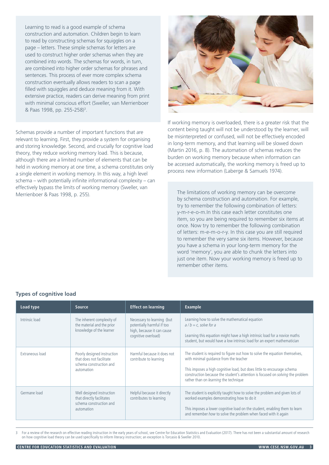Learning to read is a good example of schema construction and automation. Children begin to learn to read by constructing schemas for squiggles on a page – letters. These simple schemas for letters are used to construct higher order schemas when they are combined into words. The schemas for words, in turn, are combined into higher order schemas for phrases and sentences. This process of ever more complex schema construction eventually allows readers to scan a page filled with squiggles and deduce meaning from it. With extensive practice, readers can derive meaning from print with minimal conscious effort (Sweller, van Merrienboer & Paas 1998, pp. 255-258)<sup>3</sup>.

Schemas provide a number of important functions that are relevant to learning. First, they provide a system for organising and storing knowledge. Second, and crucially for cognitive load theory, they reduce working memory load. This is because, although there are a limited number of elements that can be held in working memory at one time, a schema constitutes only a single element in working memory. In this way, a high level schema – with potentially infinite informational complexity – can effectively bypass the limits of working memory (Sweller, van Merrienboer & Paas 1998, p. 255).



If working memory is overloaded, there is a greater risk that the content being taught will not be understood by the learner, will be misinterpreted or confused, will not be effectively encoded in long-term memory, and that learning will be slowed down (Martin 2016, p. 8). The automation of schemas reduces the burden on working memory because when information can be accessed automatically, the working memory is freed up to process new information (Laberge & Samuels 1974).

The limitations of working memory can be overcome by schema construction and automation. For example, try to remember the following combination of letters: y-m-r-e-o-m.In this case each letter constitutes one item, so you are being required to remember six items at once. Now try to remember the following combination of letters: m-e-m-o-r-y. In this case you are still required to remember the very same six items. However, because you have a schema in your long-term memory for the word 'memory', you are able to chunk the letters into just one item. Now your working memory is freed up to remember other items.

| Load type       | Source                                                                                           | <b>Effect on learning</b>                                                                                     | <b>Example</b>                                                                                                                                                                                                                                                                                                              |
|-----------------|--------------------------------------------------------------------------------------------------|---------------------------------------------------------------------------------------------------------------|-----------------------------------------------------------------------------------------------------------------------------------------------------------------------------------------------------------------------------------------------------------------------------------------------------------------------------|
| Intrinsic load  | The inherent complexity of<br>the material and the prior<br>knowledge of the learner             | Necessary to learning (but<br>potentially harmful if too<br>high, because it can cause<br>cognitive overload) | Learning how to solve the mathematical equation<br>$a/b = c$ , solve for a<br>Learning this equation might have a high intrinsic load for a novice maths<br>student, but would have a low intrinsic load for an expert mathematician                                                                                        |
| Extraneous load | Poorly designed instruction<br>that does not facilitate<br>schema construction and<br>automation | Harmful because it does not<br>contribute to learning                                                         | The student is required to figure out how to solve the equation themselves,<br>with minimal quidance from the teacher<br>This imposes a high cognitive load, but does little to encourage schema<br>construction because the student's attention is focused on solving the problem<br>rather than on learning the technique |
| Germane load    | Well designed instruction<br>that directly facilitates<br>schema construction and<br>automation  | Helpful because it directly<br>contributes to learning                                                        | The student is explicitly taught how to solve the problem and given lots of<br>worked examples demonstrating how to do it<br>This imposes a lower cognitive load on the student, enabling them to learn<br>and remember how to solve the problem when faced with it again                                                   |

## **Types of cognitive load**

For a review of the research on effective reading instruction in the early years of school, see Centre for Education Statistics and Evaluation (2017). There has not been a substantial amount of research on how cognitive load theory can be used specifically to inform literacy instruction; an exception is Torcasio & Sweller 2010.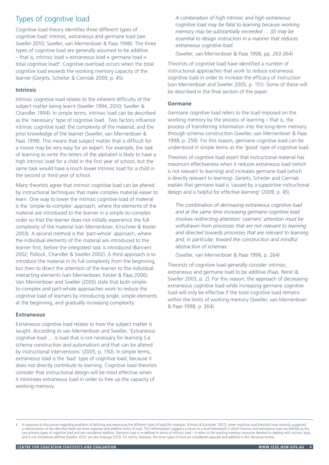# Types of cognitive load

Cognitive load theory identifies three different types of cognitive load: intrinsic, extraneous and germane load (see Sweller 2010; Sweller, van Merrienboer & Paas 1998). The three types of cognitive load are generally assumed to be additive  $-$  that is, intrinsic load  $+$  extraneous load  $+$  germane load  $=$ total cognitive load<sup>4</sup>. Cognitive overload occurs when the total cognitive load exceeds the working memory capacity of the learner (Gerjets, Scheiter & Cierniak 2009, p. 45).

## **Intrinsic**

Intrinsic cognitive load relates to the inherent difficulty of the subject matter being learnt (Sweller 1994, 2010; Sweller & Chandler 1994). In simple terms, intrinsic load can be described as the 'necessary' type of cognitive load. Two factors influence intrinsic cognitive load: the complexity of the material, and the prior knowledge of the learner (Sweller, van Merrienboer & Paas 1998). This means that subject matter that is difficult for a novice may be very easy for an expert. For example, the task of learning to write the letters of the alphabet is likely to have a high intrinsic load for a child in the first year of school, but the same task would have a much lower intrinsic load for a child in the second or third year of school.

Many theorists agree that intrinsic cognitive load can be altered by instructional techniques that make complex material easier to learn. One way to lower the intrinsic cognitive load of material is the 'simple-to-complex' approach, where the elements of the material are introduced to the learner in a simple-to-complex order so that the learner does not initially experience the full complexity of the material (van Merrienboer, Kirschner & Kester 2003). A second method is the 'part-whole' approach, where the individual elements of the material are introduced to the learner first, before the integrated task is introduced (Bannert 2002; Pollock, Chandler & Sweller 2002). A third approach is to introduce the material in its full complexity from the beginning, but then to direct the attention of the learner to the individual interacting elements (van Merrienboer, Kester & Paas 2006). Van Merrienboer and Sweller (2005) state that both simpleto-complex and part-whole approaches work to reduce the cognitive load of learners by introducing single, simple elements at the beginning, and gradually increasing complexity.

### **Extraneous**

Extraneous cognitive load relates to how the subject matter is taught. According to van Merrienboer and Sweller, 'Extraneous cognitive load … is load that is not necessary for learning (i.e. schema construction and automation) and that can be altered by instructional interventions' (2005, p. 150). In simple terms, extraneous load is the 'bad' type of cognitive load, because it does not directly contribute to learning. Cognitive load theorists consider that instructional design will be most effective when it minimises extraneous load in order to free up the capacity of working memory.

*A combination of high intrinsic and high extraneous cognitive load may be fatal to learning because working memory may be substantially exceeded … [I]t may be essential to design instruction in a manner that reduces extraneous cognitive load.*

(Sweller, van Merrienboer & Paas 1998, pp. 263-264)

Theorists of cognitive load have identified a number of instructional approaches that work to reduce extraneous cognitive load in order to increase the efficacy of instruction (van Merrienboer and Sweller 2005, p. 151). Some of these will be described in the final section of the paper.

## **Germane**

Germane cognitive load refers to the load imposed on the working memory by the process of learning – that is, the process of transferring information into the long-term memory through schema construction (Sweller, van Merrienboer & Paas 1998, p. 259). For this reason, germane cognitive load can be understood in simple terms as the 'good' type of cognitive load.

Theorists of cognitive load assert that instructional material has maximum effectiveness when it reduces extraneous load (which is not relevant to learning) and increases germane load (which is directly relevant to learning). Gerjets, Scheiter and Cierniak explain that germane load is 'caused by a supportive instructional design and is helpful for effective learning' (2009, p. 45).

*The combination of decreasing extraneous cognitive load and at the same time increasing germane cognitive load involves redirecting attention: Learners' attention must be withdrawn from processes that are not relevant to learning and directed towards processes that are relevant to learning and, in particular, toward the construction and mindful abstraction of schemas.*

(Sweller, van Merrienboer & Paas 1998, p. 264)

Theorists of cognitive load generally consider intrinsic, extraneous and germane load to be additive (Paas, Renkl & Sweller 2003, p. 2). For this reason, the approach of decreasing extraneous cognitive load while increasing germane cognitive load will only be effective if the total cognitive load remains within the limits of working memory (Sweller, van Merrienboer & Paas 1998, p. 264).

In response to discussions regarding problems of defining and measuring the different types of load (for example, Schnotz & Kürschner 2007), some cognitive load theorists have recently suggested a reformulation of the idea that there are three separate and additive forms of load. This reformulation suggests a return to a dual framework in which intrinsic and extraneous load are defined as the<br>two primary types of and is not considered additive (Sweller 2010; see also Kalyuga 2013). For clarity, however, the three types of load are considered separate and additive in this literature review.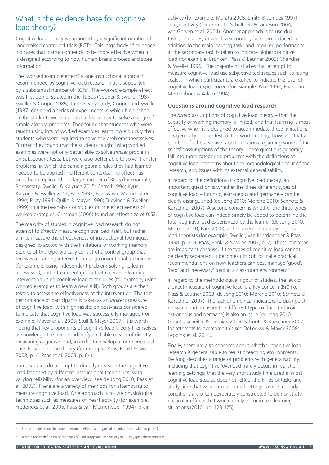# What is the evidence base for cognitive load theory?

Cognitive load theory is supported by a significant number of randomised controlled trials (RCTs). This large body of evidence indicates that instruction tends to be more effective when it is designed according to how human brains process and store information.

The 'worked example effect' is one instructional approach recommended by cognitive load research that is supported by a substantial number of RCTs<sup>5</sup>. The worked example effect was first demonstrated in the 1980s (Cooper & Sweller 1987; Sweller & Cooper 1985). In one early study, Cooper and Sweller (1987) designed a series of experiments in which high-school maths students were required to learn how to solve a range of simple algebra problems. They found that students who were taught using lots of worked examples learnt more quickly than students who were required to solve the problems themselves. Further, they found that the students taught using worked examples were not only better able to solve *similar* problems on subsequent tests, but were also better able to solve 'transfer problems' in which the same algebraic rules they had learned needed to be applied in different contexts. The effect has since been replicated in a large number of RCTs (for example, Bokosmaty, Sweller & Kalyuga 2015; Carroll 1994; Kyun, Kalyuga & Sweller 2013; Paas 1992; Paas & van Merrienboer 1994; Pillay 1994; Quilici & Mayer 1996; Tuovinen & Sweller 1999). In a meta-analysis of studies on the effectiveness of worked examples, Crissman (2006) found an effect size of 0.52.

The majority of studies in cognitive load research do not attempt to *directly* measure cognitive load itself, but rather aim to measure the effectiveness of instructional techniques designed to accord with the limitations of working memory. Studies of this type typically consist of a control group that receives a learning intervention using conventional techniques (for example, using independent problem-solving to learn a new skill), and a treatment group that receives a learning intervention using cognitive load techniques (for example, using worked examples to learn a new skill). Both groups are then tested to assess the effectiveness of the intervention. The test performance of participants is taken as an *indirect* measure of cognitive load, with high results on post-tests considered to indicate that cognitive load was successfully managed (for example, Mayer et al. 2005; Stull & Mayer 2007). It is worth noting that key proponents of cognitive load theory themselves acknowledge the need to identify a reliable means of directly measuring cognitive load, in order to develop a more empirical basis to support the theory (for example, Paas, Renkl & Sweller 2003, p. 4; Paas et al. 2003, p. 64).

Some studies do attempt to directly measure the cognitive load imposed by different instructional techniques, with varying reliability (for an overview, see de Jong 2010; Paas et al. 2003). There are a variety of methods for attempting to measure cognitive load. One approach is to use physiological techniques such as measures of heart activity (for example, Fredericks et al. 2005; Paas & van Merrienboer 1994), brain

activity (for example, Murata 2005; Smith & Jonides 1997) or eye activity (for example, Schultheis & Jameson 2004; van Gerven et al. 2004). Another approach is to use dualtask techniques, in which a secondary task is introduced in addition to the main learning task, and impaired performance in the secondary task is taken to indicate higher cognitive load (for example, Brünken, Plass & Leutner 2003; Chandler & Sweller 1996). The majority of studies that attempt to measure cognitive load use subjective techniques such as rating scales, in which participants are asked to indicate the level of cognitive load experienced (for example, Paas 1992; Paas, van Merrienboer & Adam 1994).

## **Questions around cognitive load research**

The *broad* assumptions of cognitive load theory – that the capacity of working memory is limited, and that learning is most effective when it is designed to accommodate these limitations – is generally not contested. It is worth noting, however, that a number of scholars have raised questions regarding some of the *specific* assumptions of the theory. These questions generally fall into three categories: problems with the definitions of cognitive load, concerns about the methodological rigour of the research, and issues with its external generalisability.

In regard to the definitions of cognitive load theory, an important question is whether the three different types of cognitive load – intrinsic, extraneous and germane – can be clearly distinguished (de Jong 2010; Moreno 2010; Schnotz & Kürschner 2007). A second concern is whether the three types of cognitive load can indeed simply be added to determine the total cognitive load experienced by the learner (de Jong 2010; Moreno 2010; Park 2010), as has been claimed by cognitive load theorists (for example, Sweller, van Merrienboer & Paas 1998, p. 263; Paas, Renkl & Sweller 2003, p. 2). These concerns are important because, if the types of cognitive load cannot be clearly separated, it becomes difficult to make practical recommendations on how teachers can best manage 'good', 'bad' and 'necessary' load in a classroom environment<sup>6</sup>.

In regard to the methodological rigour of studies, the lack of a direct measure of cognitive load is a key concern (Brünken, Plass & Leutner 2003; de Jong 2010; Moreno 2010; Schnotz & Kürschner 2007). The lack of empirical indicators to distinguish between and measure the different types of load (intrinsic, extraneous and germane) is also an issue (de Jong 2010; Gerjets, Scheiter & Cierniak 2009; Schnotz & Kürschner 2007; for attempts to overcome this see DeLeeuw & Mayer 2008; Leppink et al. 2014).

Finally, there are also concerns about whether cognitive load research is generalisable to realistic teaching environments. De Jong describes a range of problems with generalisability, including that cognitive 'overload' rarely occurs in realistic learning settings; that the very short study time used in most cognitive load studies does not reflect the kinds of tasks and study time that would occur in real settings; and that study conditions are often deliberately constructed to demonstrate particular effects that would rarely occur in real learning situations (2010, pp. 123-125).

<sup>5</sup> For further detail on the 'worked example effect' see 'Types of cognitive load' table on page 3.

<sup>6</sup> A more recent definition of the types of load suggested by Sweller (2010) may quell these concerns.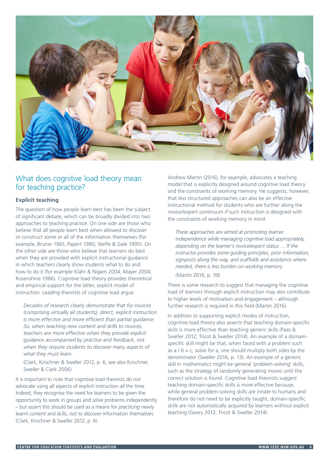

## What does cognitive load theory mean for teaching practice?

## **Explicit teaching**

The question of how people learn best has been the subject of significant debate, which can be broadly divided into two approaches to teaching practice. On one side are those who believe that all people learn best when allowed to discover or construct some or all of the information themselves (for example, Bruner 1961; Papert 1980; Steffe & Gale 1995). On the other side are those who believe that learners do best when they are provided with explicit instructional guidance in which teachers clearly show students what to do and how to do it (for example Klahr & Nigam 2004; Mayer 2004; Rosenshine 1986). Cognitive load theory provides theoretical and empirical support for the latter, explicit model of instruction. Leading theorists of cognitive load argue:

*Decades of research clearly demonstrate that for novices (comprising virtually all students), direct, explicit instruction is more effective and more efficient than partial guidance. So, when teaching new content and skills to novices, teachers are more effective when they provide explicit guidance accompanied by practice and feedback, not when they require students to discover many aspects of what they must learn.*

(Clark, Kirschner & Sweller 2012, p. 6, see also Kirschner, Sweller & Clark 2006)

It is important to note that cognitive load theorists do not advocate using *all* aspects of explicit instruction *all* the time. Indeed, they recognise the need for learners to be given the opportunity to work in groups and solve problems independently – but assert this should be used as a means for *practicing* newly learnt content and skills, not to *discover* information themselves (Clark, Kirschner & Sweller 2012, p. 6).

Andrew Martin (2016), for example, advocates a teaching model that is explicitly designed around cognitive load theory and the constraints of working memory. He suggests, however, that less structured approaches can also be an effective instructional method for students who are further along the novice/expert continuum *if* such instruction is designed with the constraints of working memory in mind.

*These approaches are aimed at promoting learner independence while managing cognitive load appropriately, depending on the learner's novice/expert status … If the instructor provides some guiding principles, prior information, signposts along the way, and scaffolds and assistance where needed, there is less burden on working memory.*

(Martin 2016, p. 39)

There is some research to suggest that managing the cognitive load of learners through explicit instruction may also contribute to higher levels of motivation and engagement – although further research is required in this field (Martin 2016).

In addition to supporting explicit modes of instruction, cognitive load theory also asserts that teaching domain-specific skills is more effective than teaching generic skills (Paas & Sweller 2012; Tricot & Sweller 2014). An example of a domainspecific skill might be that, when faced with a problem such as  $a/b = c$ , solve for a, one should multiply both sides by the denominator (Sweller 2016, p. 13). An example of a generic skill in mathematics might be general 'problem-solving' skills, such as the strategy of randomly generating moves until the correct solution is found. Cognitive load theorists suggest teaching domain-specific skills is more effective because, while general problem-solving skills are innate to humans and therefore do not need to be explicitly taught, domain-specific skills are not automatically acquired by learners without explicit teaching (Geary 2012; Tricot & Sweller 2014).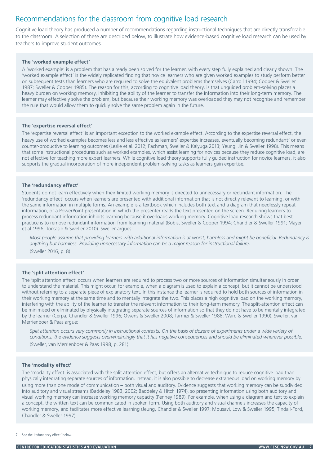# Recommendations for the classroom from cognitive load research

Cognitive load theory has produced a number of recommendations regarding instructional techniques that are directly transferable to the classroom. A selection of these are described below, to illustrate how evidence-based cognitive load research can be used by teachers to improve student outcomes.

#### **The 'worked example effect'**

A 'worked example' is a problem that has already been solved for the learner, with every step fully explained and clearly shown. The 'worked example effect' is the widely replicated finding that novice learners who are given worked examples to study perform better on subsequent tests than learners who are required to solve the equivalent problems themselves (Carroll 1994; Cooper & Sweller 1987; Sweller & Cooper 1985). The reason for this, according to cognitive load theory, is that unguided problem-solving places a heavy burden on working memory, inhibiting the ability of the learner to transfer the information into their long-term memory. The learner may effectively solve the problem, but because their working memory was overloaded they may not recognise and remember the rule that would allow them to quickly solve the same problem again in the future.

#### **The 'expertise reversal effect'**

The 'expertise reversal effect' is an important exception to the worked example effect. According to the expertise reversal effect, the heavy use of worked examples becomes less and less effective as learners' expertise increases, eventually becoming redundant<sup>7</sup> or even counter-productive to learning outcomes (Leslie et al. 2012; Pachman, Sweller & Kalyuga 2013; Yeung, Jin & Sweller 1998). This means that some instructional procedures such as worked examples, which assist learning for novices because they reduce cognitive load, are not effective for teaching more expert learners. While cognitive load theory supports fully guided instruction for novice learners, it also supports the gradual incorporation of more independent problem-solving tasks as learners gain expertise.

#### **The 'redundancy effect'**

Students do not learn effectively when their limited working memory is directed to unnecessary or redundant information. The 'redundancy effect' occurs when learners are presented with additional information that is not directly relevant to learning, or with the same information in multiple forms. An example is a textbook which includes both text and a diagram that needlessly repeat information, or a PowerPoint presentation in which the presenter reads the text presented on the screen. Requiring learners to process redundant information inhibits learning because it overloads working memory. Cognitive load research shows that best practice is to remove redundant information from learning material (Bobis, Sweller & Cooper 1994; Chandler & Sweller 1991; Mayer et al 1996; Torcasio & Sweller 2010). Sweller argues:

*Most people assume that providing learners with additional information is at worst, harmless and might be beneficial. Redundancy is anything but harmless. Providing unnecessary information can be a major reason for instructional failure.* (Sweller 2016, p. 8)

#### **The 'split attention effect'**

The 'split attention effect' occurs when learners are required to process two or more sources of information simultaneously in order to understand the material. This might occur, for example, when a diagram is used to explain a concept, but it cannot be understood without referring to a separate piece of explanatory text. In this instance the learner is required to hold both sources of information in their working memory at the same time and to mentally integrate the two. This places a high cognitive load on the working memory, interfering with the ability of the learner to transfer the relevant information to their long-term memory. The split-attention effect can be minimised or eliminated by physically integrating separate sources of information so that they do not have to be mentally integrated by the learner (Cerpa, Chandler & Sweller 1996; Owens & Sweller 2008; Tarmizi & Sweller 1988; Ward & Sweller 1990). Sweller, van Merrienboer & Paas argue:

Split attention occurs very commonly in instructional contexts. On the basis of dozens of experiments under a wide variety of *conditions, the evidence suggests overwhelmingly that it has negative consequences and should be eliminated wherever possible.* (Sweller, van Merrienboer & Paas 1998, p. 281)

#### **The 'modality effect'**

The 'modality effect' is associated with the split attention effect, but offers an alternative technique to reduce cognitive load than physically integrating separate sources of information. Instead, it is also possible to decrease extraneous load on working memory by using more than one mode of communication – both visual and auditory. Evidence suggests that working memory can be subdivided into auditory and visual streams (Baddeley 1983, 2002; Baddeley & Hitch 1974), so presenting information using both auditory and visual working memory can increase working memory capacity (Penney 1989). For example, when using a diagram and text to explain a concept, the written text can be communicated in spoken form. Using both auditory and visual channels increases the capacity of working memory, and facilitates more effective learning (Jeung, Chandler & Sweller 1997; Mousavi, Low & Sweller 1995; Tindall-Ford, Chandler & Sweller 1997).

<sup>7</sup> See the 'redundancy effect' below.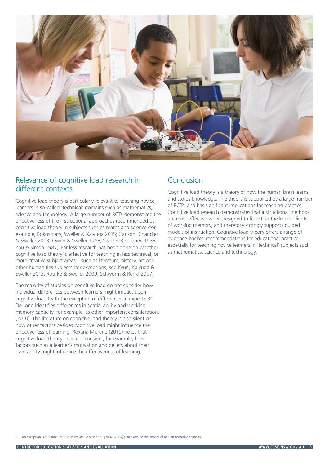

## Relevance of cognitive load research in different contexts

Cognitive load theory is particularly relevant to teaching novice learners in so-called 'technical' domains such as mathematics, science and technology. A large number of RCTs demonstrate the effectiveness of the instructional approaches recommended by cognitive load theory in subjects such as maths and science (for example, Bokosmaty, Sweller & Kalyuga 2015; Carlson, Chandler & Sweller 2003; Owen & Sweller 1985; Sweller & Cooper, 1985; Zhu & Simon 1987). Far less research has been done on whether cognitive load theory is effective for teaching in less technical, or more creative subject areas – such as literature, history, art and other humanities subjects (for exceptions, see Kyun, Kalyuga & Sweller 2013; Rourke & Sweller 2009; Schworm & Renkl 2007).

The majority of studies on cognitive load do not consider how individual differences between learners might impact upon cognitive load (with the exception of differences in expertise)<sup>8</sup>. De Jong identifies differences in spatial ability and working memory capacity, for example, as other important considerations (2010). The literature on cognitive load theory is also silent on how other factors besides cognitive load might influence the effectiveness of learning. Roxana Moreno (2010) notes that cognitive load theory does not consider, for example, how factors such as a learner's motivation and beliefs about their own ability might influence the effectiveness of learning.

## Conclusion

Cognitive load theory is a theory of how the human brain learns and stores knowledge. The theory is supported by a large number of RCTs, and has significant implications for teaching practice. Cognitive load research demonstrates that instructional methods are most effective when designed to fit within the known limits of working memory, and therefore strongly supports guided models of instruction. Cognitive load theory offers a range of evidence-backed recommendations for educational practice, especially for teaching novice learners in 'technical' subjects such as mathematics, science and technology.

An exception is a number of studies by van Gerven et al. (2002, 2004) that examine the impact of age on cognitive capacity.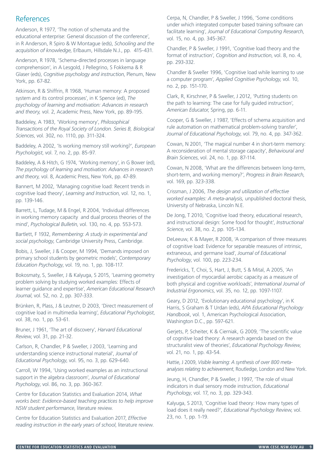## References

Anderson, R 1977, 'The notion of schemata and the educational enterprise: General discussion of the conference', in R Anderson, R Spiro & W Montague (eds), *Schooling and the acquisition of knowledge*, Erlbaum, Hillsdale N.J., pp. 415-431.

Anderson, R 1978, 'Schema-directed processes in language comprehension', in A Lesgold, J Pellegrino, S Fokkema & R Glaser (eds), *Cognitive psychology and instruction*, Plenum, New York, pp. 67-82.

Atkinson, R & Shiffrin, R 1968, 'Human memory: A proposed system and its control processes', in K Spence (ed), *The psychology of learning and motivation: Advances in research and theory,* vol. 2, Academic Press, New York, pp. 89-195.

Baddeley, A 1983, 'Working memory', *Philosophical Transactions of the Royal Society of London. Series B, Biological Sciences*, vol. 302, no. 1110, pp. 311-324.

Baddeley, A 2002, 'Is working memory still working?', *European Psychologist*, vol. 7, no. 2, pp. 85-97.

Baddeley, A & Hitch, G 1974, 'Working memory', in G Bower (ed), *The psychology of learning and motivation: Advances in research and theory,* vol. 8, Academic Press, New York, pp. 47-89.

Bannert, M 2002, 'Managing cognitive load: Recent trends in cognitive load theory', *Learning and Instruction*, vol. 12, no. 1, pp. 139-146.

Barrett, L, Tudage, M & Engel, R 2004, 'Individual differences in working memory capacity and dual process theories of the mind', *Psychological Bulletin*, vol. 130, no. 4, pp. 553-573.

Bartlett, F 1932, *Remembering: A study in experimental and social psychology*, Cambridge University Press, Cambridge.

Bobis, J, Sweller, J & Cooper, M 1994, 'Demands imposed on primary school students by geometric models', *Contemporary Education Psychology*, vol. 19, no. 1, pp. 108-117.

Bokosmaty, S, Sweller, J & Kalyuga, S 2015, 'Learning geometry problem solving by studying worked examples: Effects of learner guidance and expertise', *American Educational Research Journal*, vol. 52, no. 2, pp. 307-333.

Brünken, R, Plass, J & Leutner, D 2003, 'Direct measurement of cognitive load in multimedia learning', *Educational Psychologist*, vol. 38, no. 1, pp. 53-61.

Bruner, J 1961, 'The art of discovery', *Harvard Educational Review*, vol. 31, pp. 21-32.

Carlson, R, Chandler, P & Sweller, J 2003, 'Learning and understanding science instructional material', *Journal of Educational Psychology*, vol. 95, no. 3, pp. 629-640.

Carroll, W 1994, 'Using worked examples as an instructional support in the algebra classroom', *Journal of Educational Psychology*, vol. 86, no. 3, pp. 360-367.

Centre for Education Statistics and Evaluation 2014, *What works best: Evidence-based teaching practices to help improve NSW student performance*, literature review.

Centre for Education Statistics and Evaluation 2017, *Effective reading instruction in the early years of school*, literature review. Cerpa, N, Chandler, P & Sweller, J 1996, 'Some conditions under which integrated computer based training software can facilitate learning', *Journal of Educational Computing Research*, vol. 15, no. 4, pp. 345-367.

Chandler, P & Sweller, J 1991, 'Cognitive load theory and the format of instruction', *Cognition and Instruction*, vol. 8, no. 4, pp. 293-332.

Chandler & Sweller 1996, 'Cognitive load while learning to use a computer program', *Applied Cognitive Psychology*, vol. 10, no. 2, pp. 151-170.

Clark, R, Kirschner, P & Sweller, J 2012, 'Putting students on the path to learning: The case for fully guided instruction', *American Educator*, Spring, pp. 6-11.

Cooper, G & Sweller, J 1987, 'Effects of schema acquisition and rule automation on mathematical problem-solving transfer', *Journal of Educational Psychology*, vol. 79, no. 4, pp. 347-362.

Cowan, N 2001, 'The magical number 4 in short-term memory: A reconsideration of mental storage capacity', *Behavioural and Brain Sciences*, vol. 24, no. 1, pp. 87-114.

Cowan, N 2008, 'What are the differences between long-term, short-term, and working memory?', *Progress in Brain Research*, vol. 169, pp. 323-338.

Crissman, J 2006, *The design and utilization of effective worked examples: A meta-analysis,* unpublished doctoral thesis, University of Nebraska, Lincoln N.E.

De Jong, T 2010, 'Cognitive load theory, educational research, and instructional design: Some food for thought', *Instructional Science*, vol. 38, no. 2, pp. 105-134.

DeLeeuw, K & Mayer, R 2008, 'A comparison of three measures of cognitive load: Evidence for separable measures of intrinsic, extraneous, and germane load', *Journal of Educational Psychology*, vol. 100, pp. 223-234.

Fredericks, T, Choi, S, Hart, J, Butt, S & Mital, A 2005, 'An investigation of myocardial aerobic capacity as a measure of both physical and cognitive workloads', *International Journal of Industrial Ergonomics*, vol. 35, no. 12, pp. 1097-1107.

Geary, D 2012, 'Evolutionary educational psychology', in K Harris, S Graham & T Urdan (eds), *APA Educational Psychology Handbook*, vol. 1, American Psychological Association, Washington D.C., pp. 597-621.

Gerjets, P, Scheiter, K & Cierniak, G 2009, 'The scientific value of cognitive load theory: A research agenda based on the structuralist view of theories', *Educational Psychology Review*, vol. 21, no. 1, pp. 43-54.

Hattie, J 2009, *Visible learning: A synthesis of over 800 metaanalyses relating to achievement*, Routledge, London and New York.

Jeung, H, Chandler, P & Sweller, J 1997, 'The role of visual indicators in dual sensory mode instruction, *Educational Psychology*, vol. 17, no. 3, pp. 329-343.

Kalyuga, S 2013, 'Cognitive load theory: How many types of load does it really need?', *Educational Psychology Review*, vol. 23, no. 1, pp. 1-19.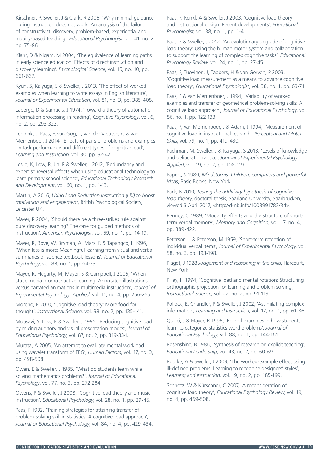Kirschner, P, Sweller, J & Clark, R 2006, 'Why minimal guidance during instruction does not work: An analysis of the failure of constructivist, discovery, problem-based, experiential and inquiry-based teaching', *Educational Psychologist*, vol. 41, no. 2, pp. 75-86.

Klahr, D & Nigam, M 2004, 'The equivalence of learning paths in early science education: Effects of direct instruction and discovery learning', *Psychological Science*, vol. 15, no. 10, pp. 661-667.

Kyun, S, Kalyuga, S & Sweller, J 2013, 'The effect of worked examples when learning to write essays in English literature', *Journal of Experimental Education*, vol. 81, no. 3, pp. 385-408.

Laberge, D & Samuels, J 1974, 'Toward a theory of automatic information processing in reading', *Cognitive Psychology*, vol. 6, no. 2, pp. 293-323.

Leppink, J, Paas, F, van Gog, T, van der Vleuten, C & van Merrienboer, J 2014, 'Effects of pairs of problems and examples on task performance and different types of cognitive load', *Learning and Instruction*, vol. 30, pp. 32-42.

Leslie, K, Low, R, Jin, P & Sweller, J 2012, 'Redundancy and expertise reversal effects when using educational technology to learn primary school science', *Educational Technology Research and Development*, vol. 60, no. 1, pp. 1-13.

Martin, A 2016, *Using Load Reduction Instruction (LRI) to boost motivation and engagement*, British Psychological Society, Leicester UK.

Mayer, R 2004, 'Should there be a three-strikes rule against pure discovery learning? The case for guided methods of instruction', *American Psychologist*, vol. 59, no. 1, pp. 14-19.

Mayer, R, Bove, W, Bryman, A, Mars, R & Tapangco, L 1996, 'When less is more: Meaningful learning from visual and verbal summaries of science textbook lessons', *Journal of Educational Psychology*, vol. 88, no. 1, pp. 64-73.

Mayer, R, Hegarty, M, Mayer, S & Campbell, J 2005, 'When static media promote active learning: Annotated illustrations versus narrated animations in multimedia instruction', *Journal of Experimental Psychology: Applied*, vol. 11, no. 4, pp. 256-265.

Moreno, R 2010, 'Cognitive load theory: More food for thought', *Instructional Science*, vol. 38, no. 2, pp. 135-141.

Mousavi, S, Low, R & Sweller, J 1995, 'Reducing cognitive load by mixing auditory and visual presentation modes', *Journal of Educational Psychology*, vol. 87, no. 2, pp. 319-334.

Murata, A 2005, 'An attempt to evaluate mental workload using wavelet transform of EEG', *Human Factors*, vol. 47, no. 3, pp. 498-508.

Owen, E & Sweller, J 1985, 'What do students learn while solving mathematics problems?', *Journal of Educational Psychology*, vol. 77, no. 3, pp. 272-284.

Owens, P & Sweller, J 2008, 'Cognitive load theory and music instruction', *Educational Psychology*, vol. 28, no. 1, pp. 29-45.

Paas, F 1992, 'Training strategies for attaining transfer of problem-solving skill in statistics: A cognitive-load approach', *Journal of Educational Psychology*, vol. 84, no. 4, pp. 429-434. Paas, F, Renkl, A & Sweller, J 2003, 'Cognitive load theory and instructional design: Recent developments', *Educational Psychologist*, vol. 38, no. 1, pp. 1-4.

Paas, F & Sweller, J 2012, 'An evolutionary upgrade of cognitive load theory: Using the human motor system and collaboration to support the learning of complex cognitive tasks', *Educational Psychology Review*, vol. 24, no. 1, pp. 27-45.

Paas, F, Tuovinen, J, Tabbers, H & van Gerven, P 2003, 'Cognitive load measurement as a means to advance cognitive load theory', *Educational Psychologist*, vol. 38, no. 1, pp. 63-71.

Paas, F & van Merrienboer, J 1994, 'Variability of worked examples and transfer of geometrical problem-solving skills: A cognitive load approach', *Journal of Educational Psychology*, vol. 86, no. 1, pp. 122-133.

Paas, F, van Merrienboer, J & Adam, J 1994, 'Measurement of cognitive load in instructional research', *Perceptual and Motor Skills*, vol. 79, no. 1, pp. 419-430.

Pachman, M, Sweller, J & Kalyuga, S 2013, 'Levels of knowledge and deliberate practice', *Journal of Experimental Psychology: Applied*, vol. 19, no. 2, pp. 108-119.

Papert, S 1980, *Mindstorms: Children, computers and powerful ideas*, Basic Books, New York.

Park, B 2010, *Testing the additivity hypothesis of cognitive load theory*, doctoral thesis, Saarland University, Saarbrücken, viewed 3 April 2017, <http://d-nb.info/1008991783/34>.

Penney, C 1989, 'Modality effects and the structure of shortterm verbal memory', *Memory and Cognition*, vol. 17, no. 4, pp. 389-422.

Peterson, L & Peterson, M 1959, 'Short-term retention of individual verbal items', *Journal of Experimental Psychology*, vol. 58, no. 3, pp. 193-198.

Piaget, J 1928 *Judgement and reasoning in the child*, Harcourt, New York.

Pillay, H 1994, 'Cognitive load and mental rotation: Structuring orthographic projection for learning and problem solving', *Instructional Science*, vol. 22, no. 2, pp. 91-113.

Pollock, E, Chandler, P & Sweller, J 2002, 'Assimilating complex information', *Learning and Instruction*, vol. 12, no. 1, pp. 61-86.

Quilici, J & Mayer, R 1996, 'Role of examples in how students learn to categorize statistics word problems', *Journal of Educational Psychology*, vol. 88, no. 1, pp. 144-161.

Rosenshine, B 1986, 'Synthesis of research on explicit teaching', *Educational Leadership*, vol. 43, no. 7, pp. 60-69.

Rourke, A & Sweller, J 2009, 'The worked-example effect using ill-defined problems: Learning to recognise designers' styles', *Learning and Instruction*, vol. 19, no. 2, pp. 185-199.

Schnotz, W & Kürschner, C 2007, 'A reconsideration of cognitive load theory', *Educational Psychology Review*, vol. 19, no. 4, pp. 469-508.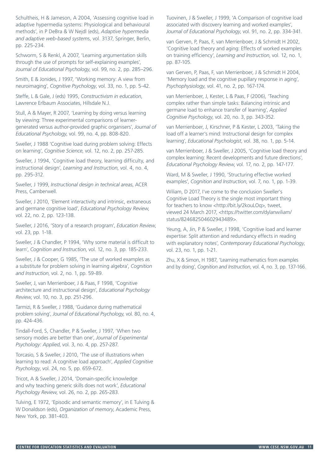Schultheis, H & Jameson, A 2004, 'Assessing cognitive load in adaptive hypermedia systems: Physiological and behavioural methods', in P DeBra & W Nejdl (eds), *Adaptive hypermedia and adaptive web-based system*s, vol. 3137, Springer, Berlin, pp. 225-234.

Schworm, S & Renkl, A 2007, 'Learning argumentation skills through the use of prompts for self-explaining examples', *Journal of Educational Psychology*, vol. 99, no. 2, pp. 285–296.

Smith, E & Jonides, J 1997, 'Working memory: A view from neuroimaging', *Cognitive Psychology*, vol. 33, no. 1, pp. 5-42.

Steffe, L & Gale, J (eds) 1995, *Constructivism in education*, Lawrence Erlbaum Associates, Hillsdale N.J.

Stull, A & Mayer, R 2007, 'Learning by doing versus learning by viewing: Three experimental comparisons of learnergenerated versus author-provided graphic organisers', *Journal of Educational Psychology*, vol. 99, no. 4, pp. 808-820.

Sweller, J 1988 'Cognitive load during problem solving: Effects on learning', *Cognitive Science*, vol. 12, no. 2, pp. 257-285.

Sweller, J 1994, 'Cognitive load theory, learning difficulty, and instructional design', *Learning and Instruction*, vol. 4, no. 4, pp. 295-312. Ward, M & Sweller, J 1990, 'Structuring effective worked

Press, Camberwell.

Sweller, J 2010, 'Element interactivity and intrinsic, extraneous and germane cognitive load', *Educational Psychology Review*, vol. 22, no. 2, pp. 123-138.

Sweller, J 2016, 'Story of a research program', *Education Review*, vol. 23, pp. 1-18.

Sweller, J & Chandler, P 1994, 'Why some material is difficult to learn', *Cognition and Instruction*, vol. 12, no. 3, pp. 185-233.

Sweller, J & Cooper, G 1985, 'The use of worked examples as a substitute for problem solving in learning algebra', *Cognition and Instruction*, vol. 2, no. 1, pp. 59-89.

Sweller, J, van Merrienboer, J & Paas, F 1998, 'Cognitive architecture and instructional design', *Educational Psychology Review*, vol. 10, no. 3, pp. 251-296.

Tarmizi, R & Sweller, J 1988, 'Guidance during mathematical problem solving', *Journal of Educational Psychology*, vol. 80, no. 4, pp. 424-436.

Tindall-Ford, S, Chandler, P & Sweller, J 1997, 'When two sensory modes are better than one', *Journal of Experimental Psychology: Applied*, vol. 3, no. 4, pp. 257-287.

Torcasio, S & Sweller, J 2010, 'The use of illustrations when learning to read: A cognitive load approach', *Applied Cognitive Psychology*, vol. 24, no. 5, pp. 659-672.

Tricot, A & Sweller, J 2014, 'Domain-specific knowledge and why teaching generic skills does not work', *Educational Psychology Review*, vol. 26, no. 2, pp. 265-283.

Tulving, E 1972, 'Episodic and semantic memory', in E Tulving & W Donaldson (eds), *Organization of memory*, Academic Press, New York, pp. 381-403.

Tuovinen, J & Sweller, J 1999, 'A Comparison of cognitive load associated with discovery learning and worked examples', *Journal of Educational Psychology*, vol. 91, no. 2, pp. 334-341.

van Gerven, P, Paas, F, van Merrienboer, J & Schmidt H 2002, 'Cognitive load theory and aging: Effects of worked examples on training efficiency', *Learning and Instruction*, vol. 12, no. 1, pp. 87-105.

van Gerven, P, Paas, F, van Merrienboer, J & Schmidt H 2004, 'Memory load and the cognitive pupillary response in aging', *Psychophysiology*, vol. 41, no. 2, pp. 167-174.

van Merrienboer, J, Kester, L & Paas, F (2006), 'Teaching complex rather than simple tasks: Balancing intrinsic and germane load to enhance transfer of learning', *Applied Cognitive Psychology*, vol. 20, no. 3, pp. 343-352.

van Merrienboer, J, Kirschner, P & Kester, L 2003, 'Taking the load off a learner's mind: Instructional design for complex learning', *Educational Psychologist*, vol. 38, no. 1, pp. 5-14.

van Merrienboer, J & Sweller, J 2005, 'Cognitive load theory and complex learning: Recent developments and future directions', *Educational Psychology Review*, vol. 17, no. 2, pp. 147-177.

examples', *Cognition and Instruction*, vol. 7, no. 1, pp. 1-39. Sweller, J 1999, *Instructional design in technical areas*, ACER

Wiliam, D 2017, I've come to the conclusion Sweller's Cognitive Load Theory is the single most important thing for teachers to know <http://bit.ly/2kouLOq>, tweet, viewed 24 March 2017, <https://twitter.com/dylanwiliam/ status/824682504602943489>.

Yeung, A, Jin, P & Sweller, J 1998, 'Cognitive load and learner expertise: Split attention and redundancy effects in reading with explanatory notes', *Contemporary Educational Psychology*, vol. 23, no. 1, pp. 1-21.

Zhu, X & Simon, H 1987, 'Learning mathematics from examples and by doing', *Cognition and Instruction*, vol. 4, no. 3, pp. 137-166.